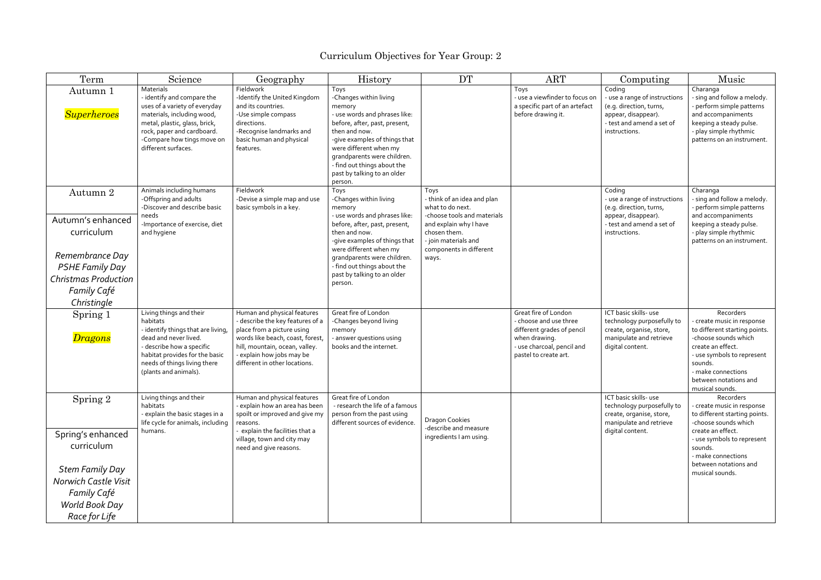| Term                                                          | Science                                                                                                                                                                                                                    | Geography                                                                                                                                                                                                                       | History                                                                                                                                                                                                                                                                                        | <b>DT</b>                                                                                                                | <b>ART</b>                                                                                                                                           | Computing                                                                                                                               | Music                                                                                                                                                                                                                            |
|---------------------------------------------------------------|----------------------------------------------------------------------------------------------------------------------------------------------------------------------------------------------------------------------------|---------------------------------------------------------------------------------------------------------------------------------------------------------------------------------------------------------------------------------|------------------------------------------------------------------------------------------------------------------------------------------------------------------------------------------------------------------------------------------------------------------------------------------------|--------------------------------------------------------------------------------------------------------------------------|------------------------------------------------------------------------------------------------------------------------------------------------------|-----------------------------------------------------------------------------------------------------------------------------------------|----------------------------------------------------------------------------------------------------------------------------------------------------------------------------------------------------------------------------------|
| Autumn 1<br><b>Superheroes</b>                                | Materials<br>- identify and compare the<br>uses of a variety of everyday<br>materials, including wood,<br>metal, plastic, glass, brick,<br>rock, paper and cardboard.<br>-Compare how tings move on<br>different surfaces. | Fieldwork<br>-Identify the United Kingdom<br>and its countries.<br>-Use simple compass<br>directions.<br>-Recognise landmarks and<br>basic human and physical<br>features.                                                      | Toys<br>-Changes within living<br>memory<br>- use words and phrases like:<br>before, after, past, present,<br>then and now.<br>-give examples of things that<br>were different when my<br>grandparents were children.<br>- find out things about the<br>past by talking to an older<br>person. |                                                                                                                          | Toys<br>- use a viewfinder to focus on<br>a specific part of an artefact<br>before drawing it.                                                       | Coding<br>- use a range of instructions<br>(e.g. direction, turns,<br>appear, disappear).<br>- test and amend a set of<br>instructions. | Charanga<br>- sing and follow a melody.<br>perform simple patterns<br>and accompaniments<br>keeping a steady pulse.<br>- play simple rhythmic<br>patterns on an instrument.                                                      |
| Autumn 2                                                      | Animals including humans<br>-Offspring and adults<br>-Discover and describe basic                                                                                                                                          | Fieldwork<br>-Devise a simple map and use<br>basic symbols in a key.                                                                                                                                                            | Toys<br>-Changes within living<br>memory                                                                                                                                                                                                                                                       | Toys<br>- think of an idea and plan<br>what to do next.                                                                  |                                                                                                                                                      | Coding<br>- use a range of instructions<br>(e.g. direction, turns,                                                                      | Charanga<br>- sing and follow a melody.<br>perform simple patterns                                                                                                                                                               |
| Autumn's enhanced<br>curriculum                               | needs<br>-Importance of exercise, diet<br>and hygiene                                                                                                                                                                      |                                                                                                                                                                                                                                 | - use words and phrases like:<br>before, after, past, present,<br>then and now.<br>-give examples of things that<br>were different when my                                                                                                                                                     | -choose tools and materials<br>and explain why I have<br>chosen them.<br>- join materials and<br>components in different |                                                                                                                                                      | appear, disappear).<br>- test and amend a set of<br>instructions.                                                                       | and accompaniments<br>keeping a steady pulse.<br>- play simple rhythmic<br>patterns on an instrument.                                                                                                                            |
| Remembrance Day<br><b>PSHE Family Day</b>                     |                                                                                                                                                                                                                            |                                                                                                                                                                                                                                 | grandparents were children.<br>- find out things about the                                                                                                                                                                                                                                     | ways.                                                                                                                    |                                                                                                                                                      |                                                                                                                                         |                                                                                                                                                                                                                                  |
| <b>Christmas Production</b>                                   |                                                                                                                                                                                                                            |                                                                                                                                                                                                                                 | past by talking to an older<br>person.                                                                                                                                                                                                                                                         |                                                                                                                          |                                                                                                                                                      |                                                                                                                                         |                                                                                                                                                                                                                                  |
| <b>Family Café</b><br>Christingle                             |                                                                                                                                                                                                                            |                                                                                                                                                                                                                                 |                                                                                                                                                                                                                                                                                                |                                                                                                                          |                                                                                                                                                      |                                                                                                                                         |                                                                                                                                                                                                                                  |
| Spring 1<br><b>Dragons</b>                                    | Living things and their<br>habitats<br>- identify things that are living,<br>dead and never lived.<br>- describe how a specific<br>habitat provides for the basic<br>needs of things living there<br>(plants and animals). | Human and physical features<br>- describe the key features of a<br>place from a picture using<br>words like beach, coast, forest,<br>hill, mountain, ocean, valley.<br>explain how jobs may be<br>different in other locations. | Great fire of London<br>-Changes beyond living<br>memory<br>- answer questions using<br>books and the internet.                                                                                                                                                                                |                                                                                                                          | Great fire of London<br>- choose and use three<br>different grades of pencil<br>when drawing.<br>- use charcoal, pencil and<br>pastel to create art. | ICT basic skills- use<br>technology purposefully to<br>create, organise, store,<br>manipulate and retrieve<br>digital content.          | Recorders<br>- create music in response<br>to different starting points.<br>-choose sounds which<br>create an effect.<br>- use symbols to represent<br>sounds.<br>- make connections<br>between notations and<br>musical sounds. |
| Spring 2                                                      | Living things and their<br>habitats<br>- explain the basic stages in a<br>life cycle for animals, including                                                                                                                | Human and physical features<br>- explain how an area has been<br>spoilt or improved and give my<br>reasons.                                                                                                                     | Great fire of London<br>- research the life of a famous<br>person from the past using<br>different sources of evidence.                                                                                                                                                                        | <b>Dragon Cookies</b>                                                                                                    |                                                                                                                                                      | ICT basic skills- use<br>technology purposefully to<br>create, organise, store,<br>manipulate and retrieve                              | Recorders<br>- create music in response<br>to different starting points.<br>-choose sounds which                                                                                                                                 |
| Spring's enhanced<br>curriculum                               | humans.                                                                                                                                                                                                                    | - explain the facilities that a<br>village, town and city may<br>need and give reasons.                                                                                                                                         |                                                                                                                                                                                                                                                                                                | -describe and measure<br>ingredients I am using.                                                                         |                                                                                                                                                      | digital content.                                                                                                                        | create an effect.<br>- use symbols to represent<br>sounds.<br>- make connections                                                                                                                                                 |
| <b>Stem Family Day</b><br>Norwich Castle Visit<br>Family Café |                                                                                                                                                                                                                            |                                                                                                                                                                                                                                 |                                                                                                                                                                                                                                                                                                |                                                                                                                          |                                                                                                                                                      |                                                                                                                                         | between notations and<br>musical sounds.                                                                                                                                                                                         |
| World Book Day<br>Race for Life                               |                                                                                                                                                                                                                            |                                                                                                                                                                                                                                 |                                                                                                                                                                                                                                                                                                |                                                                                                                          |                                                                                                                                                      |                                                                                                                                         |                                                                                                                                                                                                                                  |